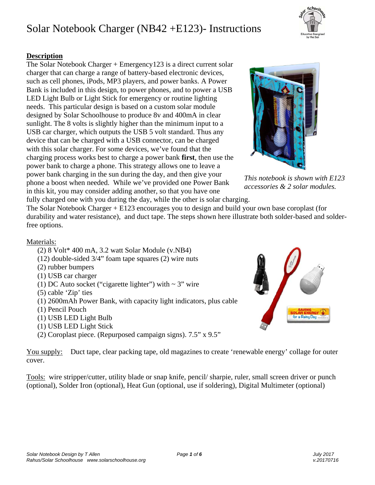#### **Description**

The Solar Notebook Charger + Emergency123 is a direct current solar charger that can charge a range of battery-based electronic devices, such as cell phones, iPods, MP3 players, and power banks. A Power Bank is included in this design, to power phones, and to power a USB LED Light Bulb or Light Stick for emergency or routine lighting needs. This particular design is based on a custom solar module designed by Solar Schoolhouse to produce 8v and 400mA in clear sunlight. The 8 volts is slightly higher than the minimum input to a USB car charger, which outputs the USB 5 volt standard. Thus any device that can be charged with a USB connector, can be charged with this solar charger. For some devices, we've found that the charging process works best to charge a power bank **first**, then use the power bank to charge a phone. This strategy allows one to leave a power bank charging in the sun during the day, and then give your phone a boost when needed. While we've provided one Power Bank in this kit, you may consider adding another, so that you have one fully charged one with you during the day, while the other is solar charging.

The Solar Notebook Charger + E123 encourages you to design and build your own base coroplast (for durability and water resistance), and duct tape. The steps shown here illustrate both solder-based and solderfree options.

#### Materials:

- (2) 8 Volt\* 400 mA, 3.2 watt Solar Module (v.NB4)
- (12) double-sided 3/4" foam tape squares (2) wire nuts
- (2) rubber bumpers
- (1) USB car charger
- (1) DC Auto socket ("cigarette lighter") with  $\sim$  3" wire
- (5) cable 'Zip' ties
- (1) 2600mAh Power Bank, with capacity light indicators, plus cable
- (1) Pencil Pouch
- (1) USB LED Light Bulb
- (1) USB LED Light Stick
- (2) Coroplast piece. (Repurposed campaign signs). 7.5" x 9.5"

You supply: Duct tape, clear packing tape, old magazines to create 'renewable energy' collage for outer cover.

Tools: wire stripper/cutter, utility blade or snap knife, pencil/ sharpie, ruler, small screen driver or punch (optional), Solder Iron (optional), Heat Gun (optional, use if soldering), Digital Multimeter (optional)





*This notebook is shown with E123 accessories & 2 solar modules.* 

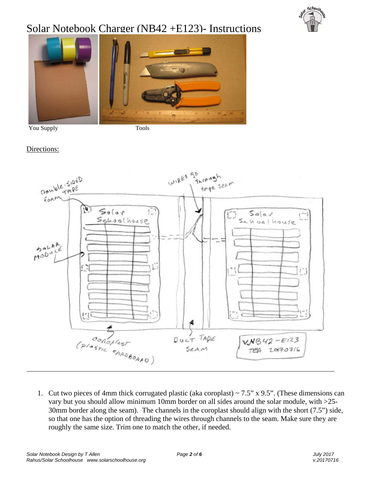



You Supply Tools

#### Directions:



1. Cut two pieces of 4mm thick corrugated plastic (aka coroplast)  $\sim$  7.5" x 9.5". (These dimensions can vary but you should allow minimum 10mm border on all sides around the solar module, with >25- 30mm border along the seam). The channels in the coroplast should align with the short (7.5") side, so that one has the option of threading the wires through channels to the seam. Make sure they are roughly the same size. Trim one to match the other, if needed.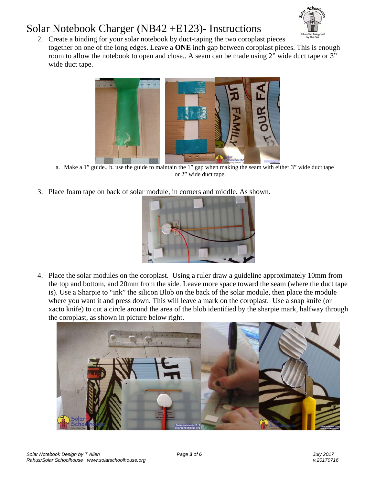

2. Create a binding for your solar notebook by duct-taping the two coroplast pieces together on one of the long edges. Leave a **ONE** inch gap between coroplast pieces. This is enough room to allow the notebook to open and close.. A seam can be made using 2" wide duct tape or 3" wide duct tape.



a. Make a 1" guide., b. use the guide to maintain the 1" gap when making the seam with either 3" wide duct tape or 2" wide duct tape.

3. Place foam tape on back of solar module, in corners and middle. As shown.



4. Place the solar modules on the coroplast. Using a ruler draw a guideline approximately 10mm from the top and bottom, and 20mm from the side. Leave more space toward the seam (where the duct tape is). Use a Sharpie to "ink" the silicon Blob on the back of the solar module, then place the module where you want it and press down. This will leave a mark on the coroplast. Use a snap knife (or xacto knife) to cut a circle around the area of the blob identified by the sharpie mark, halfway through the coroplast, as shown in picture below right.

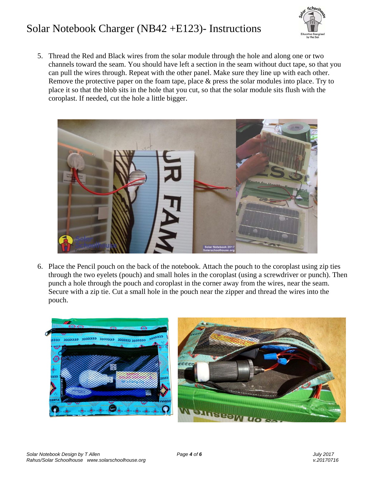

5. Thread the Red and Black wires from the solar module through the hole and along one or two channels toward the seam. You should have left a section in the seam without duct tape, so that you can pull the wires through. Repeat with the other panel. Make sure they line up with each other. Remove the protective paper on the foam tape, place & press the solar modules into place. Try to place it so that the blob sits in the hole that you cut, so that the solar module sits flush with the coroplast. If needed, cut the hole a little bigger.



6. Place the Pencil pouch on the back of the notebook. Attach the pouch to the coroplast using zip ties through the two eyelets (pouch) and small holes in the coroplast (using a screwdriver or punch). Then punch a hole through the pouch and coroplast in the corner away from the wires, near the seam. Secure with a zip tie. Cut a small hole in the pouch near the zipper and thread the wires into the pouch.

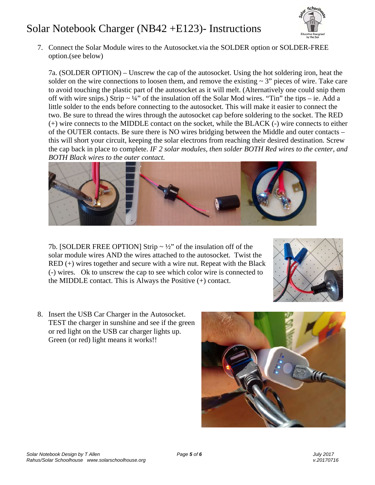

7. Connect the Solar Module wires to the Autosocket.via the SOLDER option or SOLDER-FREE option.(see below)

7a. (SOLDER OPTION) – Unscrew the cap of the autosocket. Using the hot soldering iron, heat the solder on the wire connections to loosen them, and remove the existing  $\sim 3$ " pieces of wire. Take care to avoid touching the plastic part of the autosocket as it will melt. (Alternatively one could snip them off with wire snips.) Strip  $\sim \frac{1}{4}$ " of the insulation off the Solar Mod wires. "Tin" the tips – ie. Add a little solder to the ends before connecting to the autosocket. This will make it easier to connect the two. Be sure to thread the wires through the autosocket cap before soldering to the socket. The RED (+) wire connects to the MIDDLE contact on the socket, while the BLACK (-) wire connects to either of the OUTER contacts. Be sure there is NO wires bridging between the Middle and outer contacts – this will short your circuit, keeping the solar electrons from reaching their desired destination. Screw the cap back in place to complete. *IF 2 solar modules, then solder BOTH Red wires to the center, and BOTH Black wires to the outer contact.*



7b. [SOLDER FREE OPTION] Strip  $\sim \frac{1}{2}$  of the insulation off of the solar module wires AND the wires attached to the autosocket. Twist the RED (+) wires together and secure with a wire nut. Repeat with the Black (-) wires. Ok to unscrew the cap to see which color wire is connected to the MIDDLE contact. This is Always the Positive (+) contact.



8. Insert the USB Car Charger in the Autosocket. TEST the charger in sunshine and see if the green or red light on the USB car charger lights up. Green (or red) light means it works!!